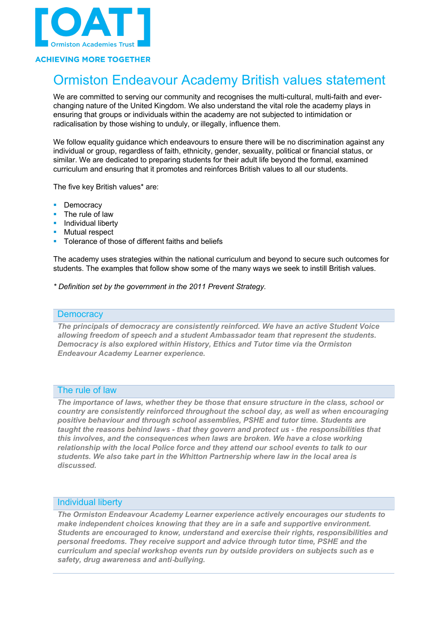

### **ACHIEVING MORE TOGETHER**

# Ormiston Endeavour Academy British values statement

We are committed to serving our community and recognises the multi-cultural, multi-faith and everchanging nature of the United Kingdom. We also understand the vital role the academy plays in ensuring that groups or individuals within the academy are not subjected to intimidation or radicalisation by those wishing to unduly, or illegally, influence them.

We follow equality quidance which endeavours to ensure there will be no discrimination against any individual or group, regardless of faith, ethnicity, gender, sexuality, political or financial status, or similar. We are dedicated to preparing students for their adult life beyond the formal, examined curriculum and ensuring that it promotes and reinforces British values to all our students.

The five key British values\* are:

- **Democracy**
- The rule of law
- § Individual liberty
- § Mutual respect
- § Tolerance of those of different faiths and beliefs

The academy uses strategies within the national curriculum and beyond to secure such outcomes for students. The examples that follow show some of the many ways we seek to instill British values.

*\* Definition set by the government in the 2011 Prevent Strategy.*

#### **Democracy**

*The principals of democracy are consistently reinforced. We have an active Student Voice allowing freedom of speech and a student Ambassador team that represent the students. Democracy is also explored within History, Ethics and Tutor time via the Ormiston Endeavour Academy Learner experience.*

#### The rule of law

*The importance of laws, whether they be those that ensure structure in the class, school or country are consistently reinforced throughout the school day, as well as when encouraging positive behaviour and through school assemblies, PSHE and tutor time. Students are taught the reasons behind laws - that they govern and protect us - the responsibilities that this involves, and the consequences when laws are broken. We have a close working relationship with the local Police force and they attend our school events to talk to our students. We also take part in the Whitton Partnership where law in the local area is discussed.*

#### Individual liberty

*The Ormiston Endeavour Academy Learner experience actively encourages our students to make independent choices knowing that they are in a safe and supportive environment. Students are encouraged to know, understand and exercise their rights, responsibilities and personal freedoms. They receive support and advice through tutor time, PSHE and the curriculum and special workshop events run by outside providers on subjects such as e safety, drug awareness and anti*-*bullying.*